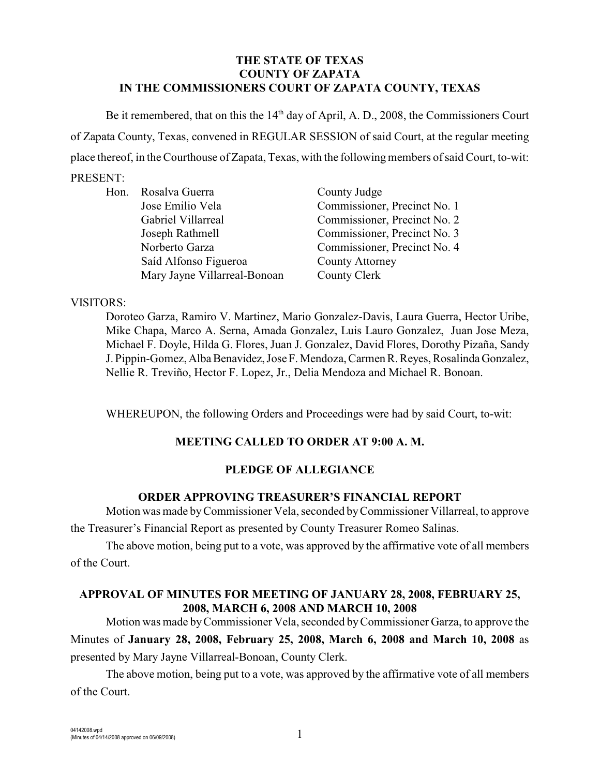### **THE STATE OF TEXAS COUNTY OF ZAPATA IN THE COMMISSIONERS COURT OF ZAPATA COUNTY, TEXAS**

Be it remembered, that on this the  $14<sup>th</sup>$  day of April, A. D., 2008, the Commissioners Court of Zapata County, Texas, convened in REGULAR SESSION of said Court, at the regular meeting place thereof, in the Courthouse of Zapata, Texas, with the followingmembers ofsaid Court, to-wit:

# PRESENT:

|  | Hon. Rosalva Guerra          | County Judge                 |
|--|------------------------------|------------------------------|
|  | Jose Emilio Vela             | Commissioner, Precinct No. 1 |
|  | Gabriel Villarreal           | Commissioner, Precinct No. 2 |
|  | Joseph Rathmell              | Commissioner, Precinct No. 3 |
|  | Norberto Garza               | Commissioner, Precinct No. 4 |
|  | Saíd Alfonso Figueroa        | <b>County Attorney</b>       |
|  | Mary Jayne Villarreal-Bonoan | County Clerk                 |

#### VISITORS:

Doroteo Garza, Ramiro V. Martinez, Mario Gonzalez-Davis, Laura Guerra, Hector Uribe, Mike Chapa, Marco A. Serna, Amada Gonzalez, Luis Lauro Gonzalez, Juan Jose Meza, Michael F. Doyle, Hilda G. Flores, Juan J. Gonzalez, David Flores, Dorothy Pizaña, Sandy J. Pippin-Gomez, Alba Benavidez, Jose F. Mendoza, Carmen R. Reyes, Rosalinda Gonzalez, Nellie R. Treviño, Hector F. Lopez, Jr., Delia Mendoza and Michael R. Bonoan.

WHEREUPON, the following Orders and Proceedings were had by said Court, to-wit:

## **MEETING CALLED TO ORDER AT 9:00 A. M.**

### **PLEDGE OF ALLEGIANCE**

### **ORDER APPROVING TREASURER'S FINANCIAL REPORT**

Motion was made byCommissioner Vela, seconded by Commissioner Villarreal, to approve the Treasurer's Financial Report as presented by County Treasurer Romeo Salinas.

The above motion, being put to a vote, was approved by the affirmative vote of all members of the Court.

### **APPROVAL OF MINUTES FOR MEETING OF JANUARY 28, 2008, FEBRUARY 25, 2008, MARCH 6, 2008 AND MARCH 10, 2008**

Motion was made by Commissioner Vela, seconded by Commissioner Garza, to approve the Minutes of **January 28, 2008, February 25, 2008, March 6, 2008 and March 10, 2008** as presented by Mary Jayne Villarreal-Bonoan, County Clerk.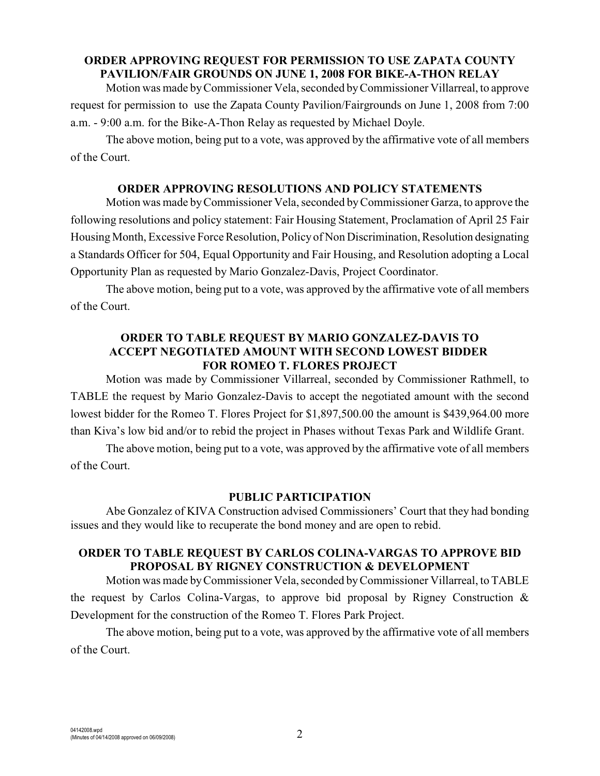#### **ORDER APPROVING REQUEST FOR PERMISSION TO USE ZAPATA COUNTY PAVILION/FAIR GROUNDS ON JUNE 1, 2008 FOR BIKE-A-THON RELAY**

Motion was made by Commissioner Vela, seconded byCommissioner Villarreal, to approve request for permission to use the Zapata County Pavilion/Fairgrounds on June 1, 2008 from 7:00 a.m. - 9:00 a.m. for the Bike-A-Thon Relay as requested by Michael Doyle.

The above motion, being put to a vote, was approved by the affirmative vote of all members of the Court.

#### **ORDER APPROVING RESOLUTIONS AND POLICY STATEMENTS**

Motion was made by Commissioner Vela, seconded by Commissioner Garza, to approve the following resolutions and policy statement: Fair Housing Statement, Proclamation of April 25 Fair Housing Month, Excessive Force Resolution, Policy of Non Discrimination, Resolution designating a Standards Officer for 504, Equal Opportunity and Fair Housing, and Resolution adopting a Local Opportunity Plan as requested by Mario Gonzalez-Davis, Project Coordinator.

The above motion, being put to a vote, was approved by the affirmative vote of all members of the Court.

### **ORDER TO TABLE REQUEST BY MARIO GONZALEZ-DAVIS TO ACCEPT NEGOTIATED AMOUNT WITH SECOND LOWEST BIDDER FOR ROMEO T. FLORES PROJECT**

Motion was made by Commissioner Villarreal, seconded by Commissioner Rathmell, to TABLE the request by Mario Gonzalez-Davis to accept the negotiated amount with the second lowest bidder for the Romeo T. Flores Project for \$1,897,500.00 the amount is \$439,964.00 more than Kiva's low bid and/or to rebid the project in Phases without Texas Park and Wildlife Grant.

The above motion, being put to a vote, was approved by the affirmative vote of all members of the Court.

#### **PUBLIC PARTICIPATION**

Abe Gonzalez of KIVA Construction advised Commissioners' Court that they had bonding issues and they would like to recuperate the bond money and are open to rebid.

#### **ORDER TO TABLE REQUEST BY CARLOS COLINA-VARGAS TO APPROVE BID PROPOSAL BY RIGNEY CONSTRUCTION & DEVELOPMENT**

Motion was made byCommissioner Vela,seconded by Commissioner Villarreal, to TABLE the request by Carlos Colina-Vargas, to approve bid proposal by Rigney Construction & Development for the construction of the Romeo T. Flores Park Project.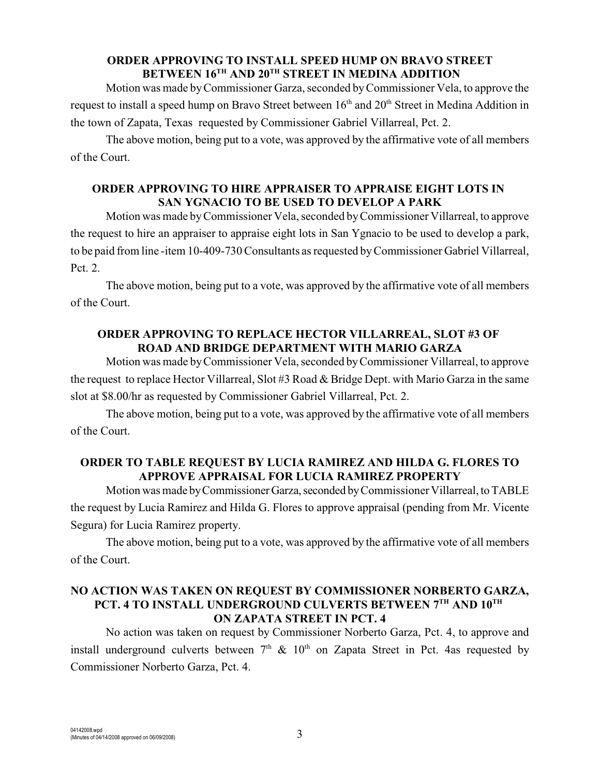#### **ORDER APPROVING TO INSTALL SPEED HUMP ON BRAVO STREET BETWEEN 16<sup>TH</sup> AND 20<sup>TH</sup> STREET IN MEDINA ADDITION**

Motion was made by Commissioner Garza, seconded by Commissioner Vela, to approve the request to install a speed hump on Bravo Street between  $16<sup>th</sup>$  and  $20<sup>th</sup>$  Street in Medina Addition in the town of Zapata, Texas requested by Commissioner Gabriel Villarreal, Pct. 2.

The above motion, being put to a vote, was approved by the affirmative vote of all members of the Court.

## **ORDER APPROVING TO HIRE APPRAISER TO APPRAISE EIGHT LOTS IN SAN YGNACIO TO BE USED TO DEVELOP A PARK**

Motion was made byCommissioner Vela, seconded by Commissioner Villarreal, to approve the request to hire an appraiser to appraise eight lots in San Ygnacio to be used to develop a park, to be paid from line -item 10-409-730 Consultants as requested by Commissioner Gabriel Villarreal, Pct. 2.

The above motion, being put to a vote, was approved by the affirmative vote of all members of the Court.

### **ORDER APPROVING TO REPLACE HECTOR VILLARREAL, SLOT #3 OF ROAD AND BRIDGE DEPARTMENT WITH MARIO GARZA**

Motion was made byCommissioner Vela, seconded byCommissioner Villarreal, to approve the request to replace Hector Villarreal, Slot #3 Road & Bridge Dept. with Mario Garza in the same slot at \$8.00/hr as requested by Commissioner Gabriel Villarreal, Pct. 2.

The above motion, being put to a vote, was approved by the affirmative vote of all members of the Court.

### **ORDER TO TABLE REQUEST BY LUCIA RAMIREZ AND HILDA G. FLORES TO APPROVE APPRAISAL FOR LUCIA RAMIREZ PROPERTY**

Motion was made by Commissioner Garza, seconded by Commissioner Villarreal, to TABLE the request by Lucia Ramirez and Hilda G. Flores to approve appraisal (pending from Mr. Vicente Segura) for Lucia Ramirez property.

The above motion, being put to a vote, was approved by the affirmative vote of all members of the Court.

#### **NO ACTION WAS TAKEN ON REQUEST BY COMMISSIONER NORBERTO GARZA, PCT. 4 TO INSTALL UNDERGROUND CULVERTS BETWEEN 7TH AND 10TH ON ZAPATA STREET IN PCT. 4**

No action was taken on request by Commissioner Norberto Garza, Pct. 4, to approve and install underground culverts between  $7<sup>th</sup>$  &  $10<sup>th</sup>$  on Zapata Street in Pct. 4as requested by Commissioner Norberto Garza, Pct. 4.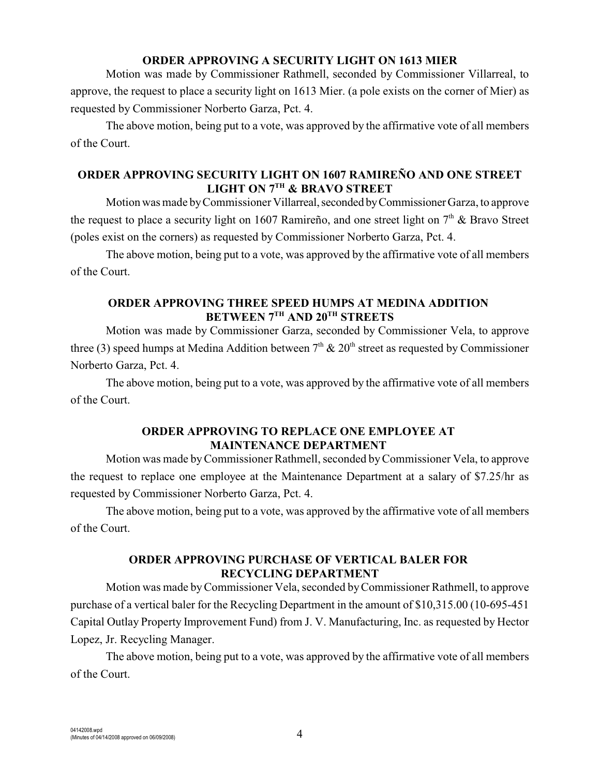#### **ORDER APPROVING A SECURITY LIGHT ON 1613 MIER**

Motion was made by Commissioner Rathmell, seconded by Commissioner Villarreal, to approve, the request to place a security light on 1613 Mier. (a pole exists on the corner of Mier) as requested by Commissioner Norberto Garza, Pct. 4.

The above motion, being put to a vote, was approved by the affirmative vote of all members of the Court.

## **ORDER APPROVING SECURITY LIGHT ON 1607 RAMIREÑO AND ONE STREET LIGHT ON 7<sup>TH</sup> & BRAVO STREET**

Motion was made by Commissioner Villarreal, seconded by Commissioner Garza, to approve the request to place a security light on 1607 Ramireño, and one street light on  $7<sup>th</sup>$  & Bravo Street (poles exist on the corners) as requested by Commissioner Norberto Garza, Pct. 4.

The above motion, being put to a vote, was approved by the affirmative vote of all members of the Court.

## **ORDER APPROVING THREE SPEED HUMPS AT MEDINA ADDITION BETWEEN 7TH AND 20TH STREETS**

Motion was made by Commissioner Garza, seconded by Commissioner Vela, to approve three (3) speed humps at Medina Addition between  $7<sup>th</sup>$  &  $20<sup>th</sup>$  street as requested by Commissioner Norberto Garza, Pct. 4.

The above motion, being put to a vote, was approved by the affirmative vote of all members of the Court.

### **ORDER APPROVING TO REPLACE ONE EMPLOYEE AT MAINTENANCE DEPARTMENT**

Motion was made by Commissioner Rathmell, seconded by Commissioner Vela, to approve the request to replace one employee at the Maintenance Department at a salary of \$7.25/hr as requested by Commissioner Norberto Garza, Pct. 4.

The above motion, being put to a vote, was approved by the affirmative vote of all members of the Court.

## **ORDER APPROVING PURCHASE OF VERTICAL BALER FOR RECYCLING DEPARTMENT**

Motion was made by Commissioner Vela, seconded byCommissioner Rathmell, to approve purchase of a vertical baler for the Recycling Department in the amount of \$10,315.00 (10-695-451 Capital Outlay Property Improvement Fund) from J. V. Manufacturing, Inc. as requested by Hector Lopez, Jr. Recycling Manager.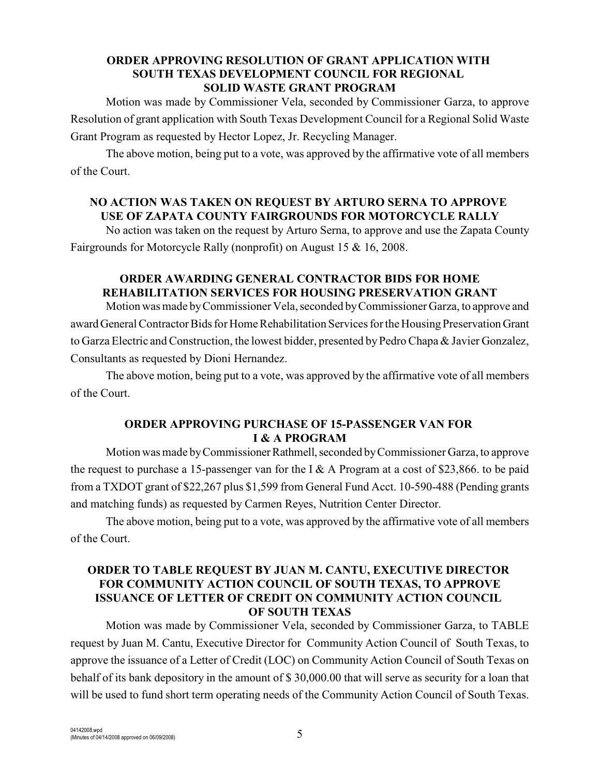#### **ORDER APPROVING RESOLUTION OF GRANT APPLICATION WITH SOUTH TEXAS DEVELOPMENT COUNCIL FOR REGIONAL SOLID WASTE GRANT PROGRAM**

Motion was made by Commissioner Vela, seconded by Commissioner Garza, to approve Resolution of grant application with South Texas Development Council for a Regional Solid Waste Grant Program as requested by Hector Lopez, Jr. Recycling Manager.

The above motion, being put to a vote, was approved by the affirmative vote of all members of the Court.

## **NO ACTION WAS TAKEN ON REQUEST BY ARTURO SERNA TO APPROVE USE OF ZAPATA COUNTY FAIRGROUNDS FOR MOTORCYCLE RALLY**

No action was taken on the request by Arturo Serna, to approve and use the Zapata County Fairgrounds for Motorcycle Rally (nonprofit) on August 15 & 16, 2008.

## **ORDER AWARDING GENERAL CONTRACTOR BIDS FOR HOME REHABILITATION SERVICES FOR HOUSING PRESERVATION GRANT**

Motion was made by Commissioner Vela, seconded by Commissioner Garza, to approve and award General Contractor Bids for Home Rehabilitation Services for the Housing Preservation Grant to Garza Electric and Construction, the lowest bidder, presented by Pedro Chapa & Javier Gonzalez, Consultants as requested by Dioni Hernandez.

The above motion, being put to a vote, was approved by the affirmative vote of all members of the Court.

## **ORDER APPROVING PURCHASE OF 15-PASSENGER VAN FOR I & A PROGRAM**

Motion was made by Commissioner Rathmell, seconded by Commissioner Garza, to approve the request to purchase a 15-passenger van for the I & A Program at a cost of \$23,866. to be paid from a TXDOT grant of \$22,267 plus \$1,599 from General Fund Acct. 10-590-488 (Pending grants and matching funds) as requested by Carmen Reyes, Nutrition Center Director.

The above motion, being put to a vote, was approved by the affirmative vote of all members of the Court.

### **ORDER TO TABLE REQUEST BY JUAN M. CANTU, EXECUTIVE DIRECTOR FOR COMMUNITY ACTION COUNCIL OF SOUTH TEXAS, TO APPROVE ISSUANCE OF LETTER OF CREDIT ON COMMUNITY ACTION COUNCIL OF SOUTH TEXAS**

Motion was made by Commissioner Vela, seconded by Commissioner Garza, to TABLE request by Juan M. Cantu, Executive Director for Community Action Council of South Texas, to approve the issuance of a Letter of Credit (LOC) on Community Action Council of South Texas on behalf of its bank depository in the amount of \$ 30,000.00 that will serve as security for a loan that will be used to fund short term operating needs of the Community Action Council of South Texas.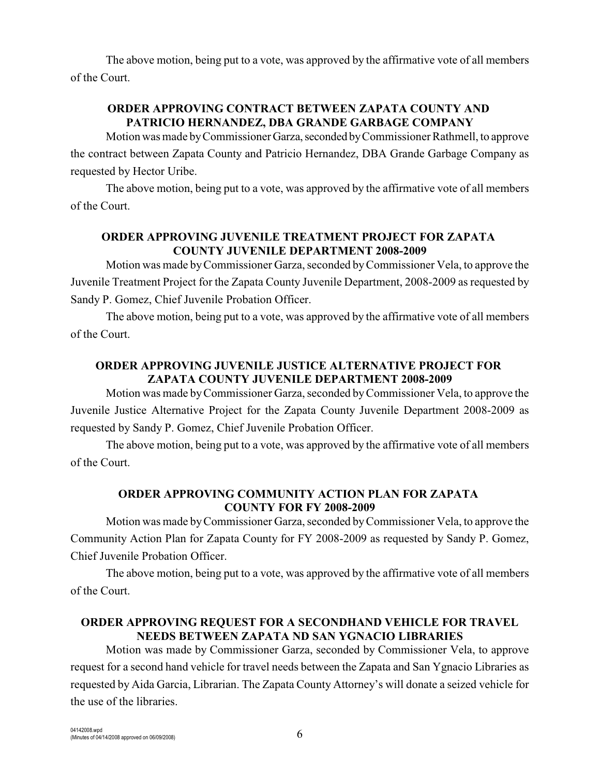The above motion, being put to a vote, was approved by the affirmative vote of all members of the Court.

## **ORDER APPROVING CONTRACT BETWEEN ZAPATA COUNTY AND PATRICIO HERNANDEZ, DBA GRANDE GARBAGE COMPANY**

Motion was made by Commissioner Garza, seconded by Commissioner Rathmell, to approve the contract between Zapata County and Patricio Hernandez, DBA Grande Garbage Company as requested by Hector Uribe.

The above motion, being put to a vote, was approved by the affirmative vote of all members of the Court.

## **ORDER APPROVING JUVENILE TREATMENT PROJECT FOR ZAPATA COUNTY JUVENILE DEPARTMENT 2008-2009**

Motion was made by Commissioner Garza, seconded by Commissioner Vela, to approve the Juvenile Treatment Project for the Zapata County Juvenile Department, 2008-2009 as requested by Sandy P. Gomez, Chief Juvenile Probation Officer.

The above motion, being put to a vote, was approved by the affirmative vote of all members of the Court.

## **ORDER APPROVING JUVENILE JUSTICE ALTERNATIVE PROJECT FOR ZAPATA COUNTY JUVENILE DEPARTMENT 2008-2009**

Motion was made by Commissioner Garza, seconded by Commissioner Vela, to approve the Juvenile Justice Alternative Project for the Zapata County Juvenile Department 2008-2009 as requested by Sandy P. Gomez, Chief Juvenile Probation Officer.

The above motion, being put to a vote, was approved by the affirmative vote of all members of the Court.

### **ORDER APPROVING COMMUNITY ACTION PLAN FOR ZAPATA COUNTY FOR FY 2008-2009**

Motion was made by Commissioner Garza, seconded by Commissioner Vela, to approve the Community Action Plan for Zapata County for FY 2008-2009 as requested by Sandy P. Gomez, Chief Juvenile Probation Officer.

The above motion, being put to a vote, was approved by the affirmative vote of all members of the Court.

### **ORDER APPROVING REQUEST FOR A SECONDHAND VEHICLE FOR TRAVEL NEEDS BETWEEN ZAPATA ND SAN YGNACIO LIBRARIES**

Motion was made by Commissioner Garza, seconded by Commissioner Vela, to approve request for a second hand vehicle for travel needs between the Zapata and San Ygnacio Libraries as requested by Aida Garcia, Librarian. The Zapata County Attorney's will donate a seized vehicle for the use of the libraries.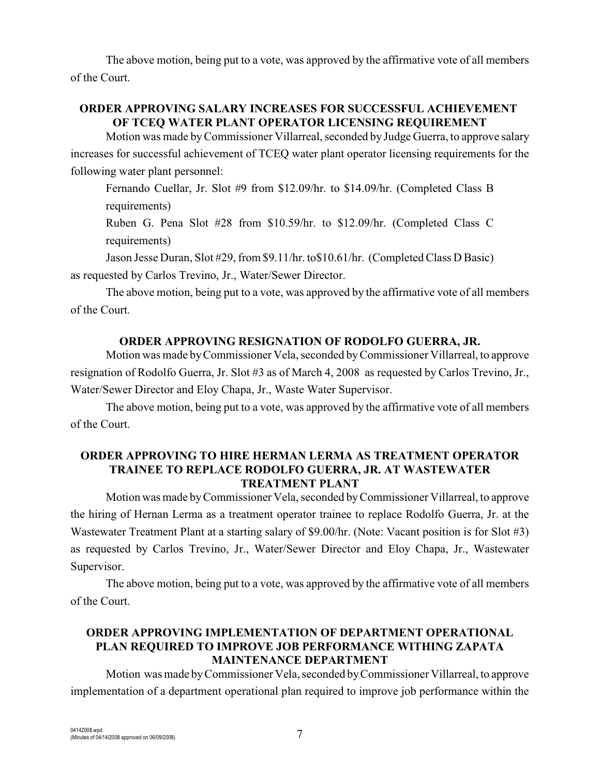The above motion, being put to a vote, was approved by the affirmative vote of all members of the Court.

## **ORDER APPROVING SALARY INCREASES FOR SUCCESSFUL ACHIEVEMENT OF TCEQ WATER PLANT OPERATOR LICENSING REQUIREMENT**

Motion was made by Commissioner Villarreal, seconded by Judge Guerra, to approve salary increases for successful achievement of TCEQ water plant operator licensing requirements for the following water plant personnel:

Fernando Cuellar, Jr. Slot #9 from \$12.09/hr. to \$14.09/hr. (Completed Class B requirements)

Ruben G. Pena Slot #28 from \$10.59/hr. to \$12.09/hr. (Completed Class C requirements)

Jason Jesse Duran, Slot #29, from \$9.11/hr. to\$10.61/hr. (Completed Class D Basic) as requested by Carlos Trevino, Jr., Water/Sewer Director.

The above motion, being put to a vote, was approved by the affirmative vote of all members of the Court.

## **ORDER APPROVING RESIGNATION OF RODOLFO GUERRA, JR.**

Motion was made by Commissioner Vela, seconded byCommissioner Villarreal, to approve resignation of Rodolfo Guerra, Jr. Slot #3 as of March 4, 2008 as requested by Carlos Trevino, Jr., Water/Sewer Director and Eloy Chapa, Jr., Waste Water Supervisor.

The above motion, being put to a vote, was approved by the affirmative vote of all members of the Court.

#### **ORDER APPROVING TO HIRE HERMAN LERMA AS TREATMENT OPERATOR TRAINEE TO REPLACE RODOLFO GUERRA, JR. AT WASTEWATER TREATMENT PLANT**

Motion was made by Commissioner Vela, seconded byCommissioner Villarreal, to approve the hiring of Hernan Lerma as a treatment operator trainee to replace Rodolfo Guerra, Jr. at the Wastewater Treatment Plant at a starting salary of \$9.00/hr. (Note: Vacant position is for Slot #3) as requested by Carlos Trevino, Jr., Water/Sewer Director and Eloy Chapa, Jr., Wastewater Supervisor.

The above motion, being put to a vote, was approved by the affirmative vote of all members of the Court.

#### **ORDER APPROVING IMPLEMENTATION OF DEPARTMENT OPERATIONAL PLAN REQUIRED TO IMPROVE JOB PERFORMANCE WITHING ZAPATA MAINTENANCE DEPARTMENT**

Motion was made byCommissioner Vela, seconded by Commissioner Villarreal, to approve implementation of a department operational plan required to improve job performance within the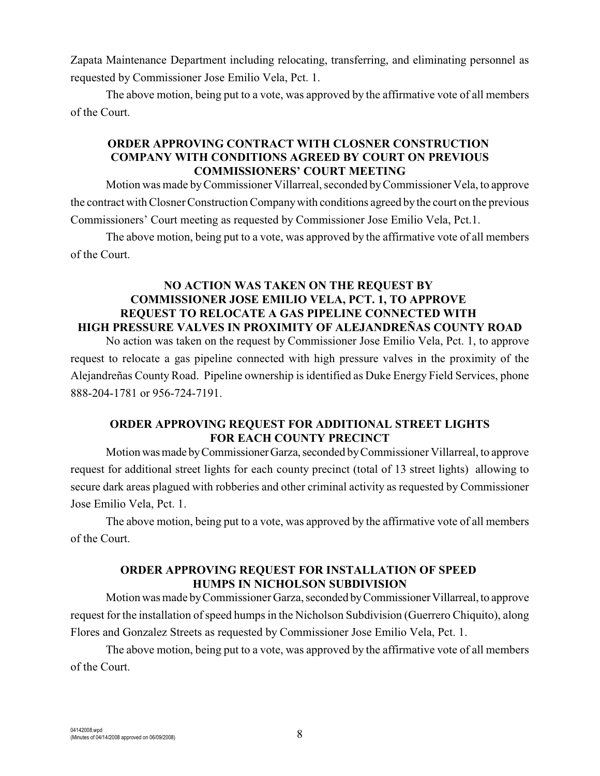Zapata Maintenance Department including relocating, transferring, and eliminating personnel as requested by Commissioner Jose Emilio Vela, Pct. 1.

The above motion, being put to a vote, was approved by the affirmative vote of all members of the Court.

#### **ORDER APPROVING CONTRACT WITH CLOSNER CONSTRUCTION COMPANY WITH CONDITIONS AGREED BY COURT ON PREVIOUS COMMISSIONERS' COURT MEETING**

Motion was made byCommissioner Villarreal, seconded by Commissioner Vela, to approve the contract with ClosnerConstruction Companywith conditions agreed by the court on the previous Commissioners' Court meeting as requested by Commissioner Jose Emilio Vela, Pct.1.

The above motion, being put to a vote, was approved by the affirmative vote of all members of the Court.

## **NO ACTION WAS TAKEN ON THE REQUEST BY COMMISSIONER JOSE EMILIO VELA, PCT. 1, TO APPROVE REQUEST TO RELOCATE A GAS PIPELINE CONNECTED WITH HIGH PRESSURE VALVES IN PROXIMITY OF ALEJANDREÑAS COUNTY ROAD**

No action was taken on the request by Commissioner Jose Emilio Vela, Pct. 1, to approve request to relocate a gas pipeline connected with high pressure valves in the proximity of the Alejandreñas County Road. Pipeline ownership is identified as Duke Energy Field Services, phone 888-204-1781 or 956-724-7191.

#### **ORDER APPROVING REQUEST FOR ADDITIONAL STREET LIGHTS FOR EACH COUNTY PRECINCT**

Motion was made by Commissioner Garza, seconded by Commissioner Villarreal, to approve request for additional street lights for each county precinct (total of 13 street lights) allowing to secure dark areas plagued with robberies and other criminal activity as requested by Commissioner Jose Emilio Vela, Pct. 1.

The above motion, being put to a vote, was approved by the affirmative vote of all members of the Court.

## **ORDER APPROVING REQUEST FOR INSTALLATION OF SPEED HUMPS IN NICHOLSON SUBDIVISION**

Motion was made by Commissioner Garza, seconded by Commissioner Villarreal, to approve request for the installation of speed humps in the Nicholson Subdivision (Guerrero Chiquito), along Flores and Gonzalez Streets as requested by Commissioner Jose Emilio Vela, Pct. 1.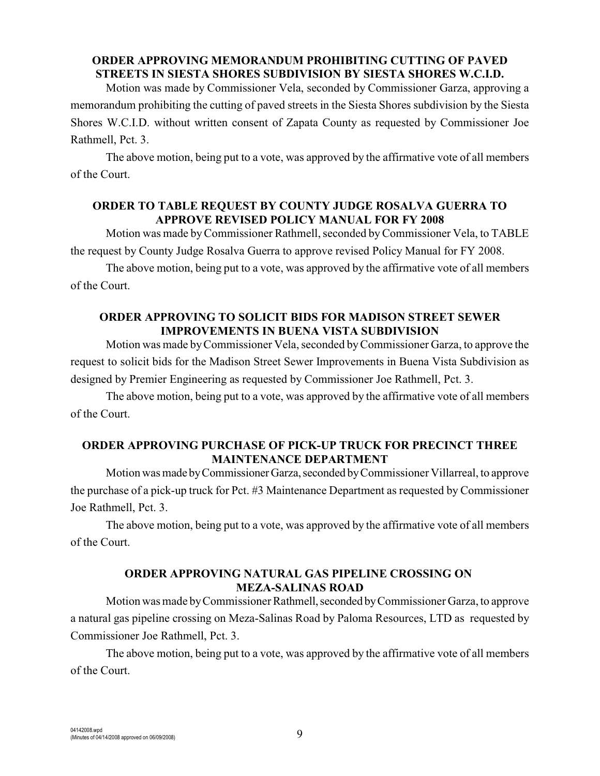#### **ORDER APPROVING MEMORANDUM PROHIBITING CUTTING OF PAVED STREETS IN SIESTA SHORES SUBDIVISION BY SIESTA SHORES W.C.I.D.**

Motion was made by Commissioner Vela, seconded by Commissioner Garza, approving a memorandum prohibiting the cutting of paved streets in the Siesta Shores subdivision by the Siesta Shores W.C.I.D. without written consent of Zapata County as requested by Commissioner Joe Rathmell, Pct. 3.

The above motion, being put to a vote, was approved by the affirmative vote of all members of the Court.

#### **ORDER TO TABLE REQUEST BY COUNTY JUDGE ROSALVA GUERRA TO APPROVE REVISED POLICY MANUAL FOR FY 2008**

Motion was made by Commissioner Rathmell, seconded by Commissioner Vela, to TABLE the request by County Judge Rosalva Guerra to approve revised Policy Manual for FY 2008.

The above motion, being put to a vote, was approved by the affirmative vote of all members of the Court.

## **ORDER APPROVING TO SOLICIT BIDS FOR MADISON STREET SEWER IMPROVEMENTS IN BUENA VISTA SUBDIVISION**

Motion was made by Commissioner Vela, seconded by Commissioner Garza, to approve the request to solicit bids for the Madison Street Sewer Improvements in Buena Vista Subdivision as designed by Premier Engineering as requested by Commissioner Joe Rathmell, Pct. 3.

The above motion, being put to a vote, was approved by the affirmative vote of all members of the Court.

## **ORDER APPROVING PURCHASE OF PICK-UP TRUCK FOR PRECINCT THREE MAINTENANCE DEPARTMENT**

Motion was made by Commissioner Garza, seconded by Commissioner Villarreal, to approve the purchase of a pick-up truck for Pct. #3 Maintenance Department as requested by Commissioner Joe Rathmell, Pct. 3.

The above motion, being put to a vote, was approved by the affirmative vote of all members of the Court.

## **ORDER APPROVING NATURAL GAS PIPELINE CROSSING ON MEZA-SALINAS ROAD**

Motion was made by Commissioner Rathmell, seconded by Commissioner Garza, to approve a natural gas pipeline crossing on Meza-Salinas Road by Paloma Resources, LTD as requested by Commissioner Joe Rathmell, Pct. 3.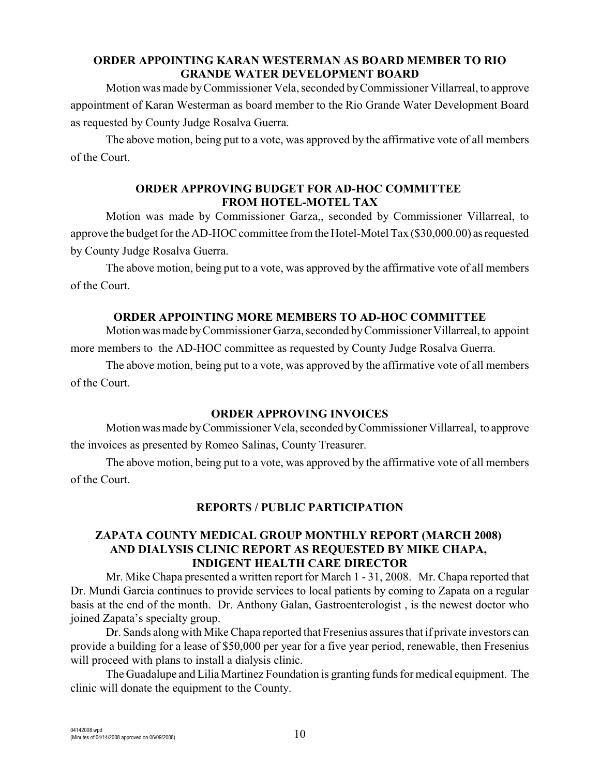### **ORDER APPOINTING KARAN WESTERMAN AS BOARD MEMBER TO RIO GRANDE WATER DEVELOPMENT BOARD**

Motion was made by Commissioner Vela, seconded byCommissioner Villarreal, to approve appointment of Karan Westerman as board member to the Rio Grande Water Development Board as requested by County Judge Rosalva Guerra.

The above motion, being put to a vote, was approved by the affirmative vote of all members of the Court.

## **ORDER APPROVING BUDGET FOR AD-HOC COMMITTEE FROM HOTEL-MOTEL TAX**

Motion was made by Commissioner Garza,, seconded by Commissioner Villarreal, to approve the budget for the AD-HOC committee from the Hotel-Motel Tax (\$30,000.00) as requested by County Judge Rosalva Guerra.

The above motion, being put to a vote, was approved by the affirmative vote of all members of the Court.

### **ORDER APPOINTING MORE MEMBERS TO AD-HOC COMMITTEE**

Motion was made by Commissioner Garza, seconded by Commissioner Villarreal, to appoint more members to the AD-HOC committee as requested by County Judge Rosalva Guerra.

The above motion, being put to a vote, was approved by the affirmative vote of all members of the Court.

#### **ORDER APPROVING INVOICES**

Motion was made by Commissioner Vela, seconded by Commissioner Villarreal, to approve the invoices as presented by Romeo Salinas, County Treasurer.

The above motion, being put to a vote, was approved by the affirmative vote of all members of the Court.

### **REPORTS / PUBLIC PARTICIPATION**

#### **ZAPATA COUNTY MEDICAL GROUP MONTHLY REPORT (MARCH 2008) AND DIALYSIS CLINIC REPORT AS REQUESTED BY MIKE CHAPA, INDIGENT HEALTH CARE DIRECTOR**

Mr. Mike Chapa presented a written report for March 1 - 31, 2008. Mr. Chapa reported that Dr. Mundi Garcia continues to provide services to local patients by coming to Zapata on a regular basis at the end of the month. Dr. Anthony Galan, Gastroenterologist , is the newest doctor who joined Zapata's specialty group.

Dr. Sands along with Mike Chapa reported that Fresenius assures that if private investors can provide a building for a lease of \$50,000 per year for a five year period, renewable, then Fresenius will proceed with plans to install a dialysis clinic.

The Guadalupe and Lilia Martinez Foundation is granting funds for medical equipment. The clinic will donate the equipment to the County.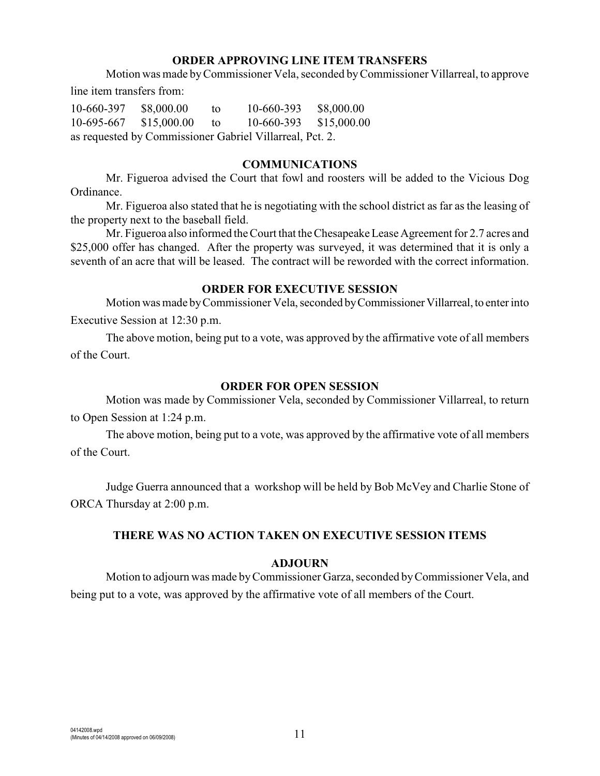#### **ORDER APPROVING LINE ITEM TRANSFERS**

Motion was made byCommissioner Vela, seconded byCommissioner Villarreal, to approve

line item transfers from:

10-660-397 \$8,000.00 to 10-660-393 \$8,000.00 10-695-667 \$15,000.00 to 10-660-393 \$15,000.00 as requested by Commissioner Gabriel Villarreal, Pct. 2.

#### **COMMUNICATIONS**

Mr. Figueroa advised the Court that fowl and roosters will be added to the Vicious Dog Ordinance.

Mr. Figueroa also stated that he is negotiating with the school district as far as the leasing of the property next to the baseball field.

Mr. Figueroa also informed the Court that the Chesapeake Lease Agreement for 2.7 acres and \$25,000 offer has changed. After the property was surveyed, it was determined that it is only a seventh of an acre that will be leased. The contract will be reworded with the correct information.

#### **ORDER FOR EXECUTIVE SESSION**

Motion was made by Commissioner Vela, seconded by Commissioner Villarreal, to enter into Executive Session at 12:30 p.m.

The above motion, being put to a vote, was approved by the affirmative vote of all members of the Court.

#### **ORDER FOR OPEN SESSION**

Motion was made by Commissioner Vela, seconded by Commissioner Villarreal, to return to Open Session at 1:24 p.m.

The above motion, being put to a vote, was approved by the affirmative vote of all members of the Court.

Judge Guerra announced that a workshop will be held by Bob McVey and Charlie Stone of ORCA Thursday at 2:00 p.m.

#### **THERE WAS NO ACTION TAKEN ON EXECUTIVE SESSION ITEMS**

#### **ADJOURN**

Motion to adjourn was made byCommissioner Garza, seconded by Commissioner Vela, and being put to a vote, was approved by the affirmative vote of all members of the Court.